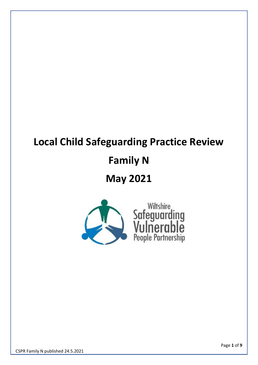# **Local Child Safeguarding Practice Review**

# **Family N**

## **May 2021**

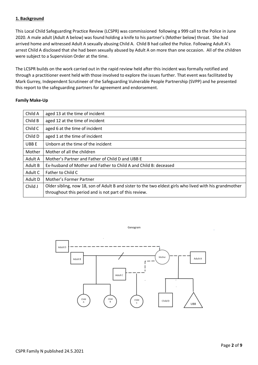### **1. Background**

This Local Child Safeguarding Practice Review (LCSPR) was commissioned following a 999 call to the Police in June 2020. A male adult (Adult A below) was found holding a knife to his partner's (Mother below) throat. She had arrived home and witnessed Adult A sexually abusing Child A. Child B had called the Police. Following Adult A's arrest Child A disclosed that she had been sexually abused by Adult A on more than one occasion. All of the children were subject to a Supervision Order at the time.

The LCSPR builds on the work carried out in the rapid review held after this incident was formally notified and through a practitioner event held with those involved to explore the issues further. That event was facilitated by Mark Gurrey, Independent Scrutineer of the Safeguarding Vulnerable People Partnership (SVPP) and he presented this report to the safeguarding partners for agreement and endorsement.

#### **Family Make-Up**

| Child A | aged 13 at the time of incident                                                                                                                                   |
|---------|-------------------------------------------------------------------------------------------------------------------------------------------------------------------|
| Child B | aged 12 at the time of incident                                                                                                                                   |
| Child C | aged 6 at the time of incident                                                                                                                                    |
| Child D | aged 1 at the time of incident                                                                                                                                    |
| UBB E   | Unborn at the time of the incident                                                                                                                                |
| Mother  | Mother of all the children                                                                                                                                        |
| Adult A | Mother's Partner and Father of Child D and UBB E                                                                                                                  |
| Adult B | Ex-husband of Mother and Father to Child A and Child B: deceased                                                                                                  |
| Adult C | Father to Child C                                                                                                                                                 |
| Adult D | Mother's Former Partner                                                                                                                                           |
| Child J | Older sibling, now 18, son of Adult B and sister to the two eldest girls who lived with his grandmother<br>throughout this period and is not part of this review. |



Genogram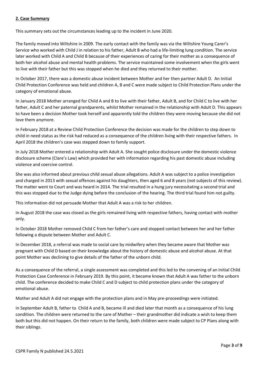#### **2. Case Summary**

This summary sets out the circumstances leading up to the incident in June 2020.

The family moved into Wiltshire in 2009. The early contact with the family was via the Wiltshire Young Carer's Service who worked with Child J in relation to his father, Adult B who had a life-limiting lung condition. The service later worked with Child A and Child B because of their experiences of caring for their mother as a consequence of both her alcohol abuse and mental health problems. The service maintained some involvement when the girls went to live with their father but this was stopped when he died and they returned to their mother.

In October 2017, there was a domestic abuse incident between Mother and her then partner Adult D. An Initial Child Protection Conference was held and children A, B and C were made subject to Child Protection Plans under the category of emotional abuse.

In January 2018 Mother arranged for Child A and B to live with their father, Adult B, and for Child C to live with her father, Adult C and her paternal grandparents, whilst Mother remained in the relationship with Adult D. This appears to have been a decision Mother took herself and apparently told the children they were moving because she did not love them anymore.

In February 2018 at a Review Child Protection Conference the decision was made for the children to step down to child in need status as the risk had reduced as a consequence of the children living with their respective fathers. In April 2018 the children's case was stepped down to family support.

In July 2018 Mother entered a relationship with Adult A. She sought police disclosure under the domestic violence disclosure scheme (Clare's Law) which provided her with information regarding his past domestic abuse including violence and coercive control.

She was also informed about previous child sexual abuse allegations. Adult A was subject to a police investigation and charged in 2013 with sexual offences against his daughters, then aged 6 and 8 years (not subjects of this review). The matter went to Court and was heard in 2014. The trial resulted in a hung jury necessitating a second trial and this was stopped due to the Judge dying before the conclusion of the hearing. The third trial found him not guilty.

This information did not persuade Mother that Adult A was a risk to her children.

In August 2018 the case was closed as the girls remained living with respective fathers, having contact with mother only.

In October 2018 Mother removed Child C from her father's care and stopped contact between her and her father following a dispute between Mother and Adult C.

In December 2018, a referral was made to social care by midwifery when they became aware that Mother was pregnant with Child D based on their knowledge about the history of domestic abuse and alcohol abuse. At that point Mother was declining to give details of the father of the unborn child.

As a consequence of the referral, a single assessment was completed and this led to the convening of an Initial Child Protection Case Conference in February 2019. By this point, it became known that Adult A was father to the unborn child. The conference decided to make Child C and D subject to child protection plans under the category of emotional abuse.

Mother and Adult A did not engage with the protection plans and in May pre-proceedings were initiated.

In September Adult B, father to Child A and B, became ill and died later that month as a consequence of his lung condition. The children were returned to the care of Mother – their grandmother did indicate a wish to keep them both but this did not happen. On their return to the family, both children were made subject to CP Plans along with their siblings.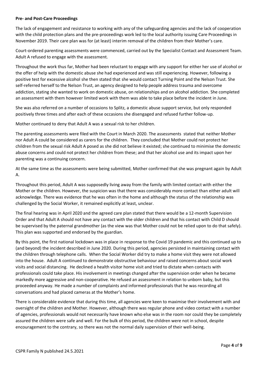#### **Pre- and Post-Care Proceedings**

The lack of engagement and resistance to working with any of the safeguarding agencies and the lack of cooperation with the child protection plans and the pre-proceedings work led to the local authority issuing Care Proceedings in November 2019. Their care plan was for (at least) interim removal of the children from their Mother's care.

Court-ordered parenting assessments were commenced, carried out by the Specialist Contact and Assessment Team. Adult A refused to engage with the assessment.

Throughout the work thus far, Mother had been reluctant to engage with any support for either her use of alcohol or the offer of help with the domestic abuse she had experienced and was still experiencing. However, following a positive test for excessive alcohol she then stated that she would contact Turning Point and the Nelson Trust. She self-referred herself to the Nelson Trust, an agency designed to help people address trauma and overcome addiction, stating she wanted to work on domestic abuse, on relationships and on alcohol addiction. She completed an assessment with them however limited work with them was able to take place before the incident in June.

She was also referred on a number of occasions to Splitz, a domestic abuse support service, but only responded positively three times and after each of these occasions she disengaged and refused further follow-up.

Mother continued to deny that Adult A was a sexual risk to her children.

The parenting assessments were filed with the Court in March 2020. The assessments stated that neither Mother nor Adult A could be considered as carers for the children. They concluded that Mother could not protect her children from the sexual risk Adult A posed as she did not believe it existed; she continued to minimise the domestic abuse concerns and could not protect her children from these; and that her alcohol use and its impact upon her parenting was a continuing concern.

At the same time as the assessments were being submitted, Mother confirmed that she was pregnant again by Adult A.

Throughout this period, Adult A was supposedly living away from the family with limited contact with either the Mother or the children. However, the suspicion was that there was considerably more contact than either adult will acknowledge. There was evidence that he was often in the home and although the status of the relationship was challenged by the Social Worker, it remained explicitly at least, unclear.

The final hearing was in April 2020 and the agreed care plan stated that there would be a 12-month Supervision Order and that Adult A should not have any contact with the older children and that his contact with Child D should be supervised by the paternal grandmother (as the view was that Mother could not be relied upon to do that safely). This plan was supported and endorsed by the guardian.

By this point, the first national lockdown was in place in response to the Covid 19 pandemic and this continued up to (and beyond) the incident described in June 2020. During this period, agencies persisted in maintaining contact with the children through telephone calls. When the Social Worker did try to make a home visit they were not allowed into the house. Adult A continued to demonstrate obstructive behaviour and raised concerns about social work visits and social distancing. He declined a health visitor home visit and tried to dictate when contacts with professionals could take place. His involvement in meetings changed after the supervision order when he became markedly more aggressive and non-cooperative. He refused an assessment in relation to unborn baby, but this proceeded anyway. He made a number of complaints and informed professionals that he was recording all conversations and had placed cameras at the Mother's home.

There is considerable evidence that during this time, all agencies were keen to maximise their involvement with and oversight of the children and Mother. However, although there was regular phone and video contact with a number of agencies, professionals would not necessarily have known who else was in the room nor could they be completely assured the children were safe and well. For the bulk of this period, the children were not in school, despite encouragement to the contrary, so there was not the normal daily supervision of their well-being.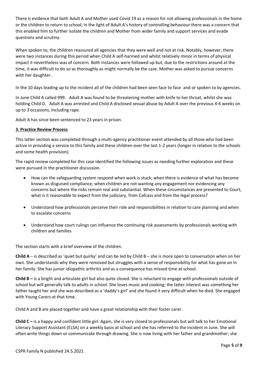There is evidence that both Adult A and Mother used Covid 19 as a reason for not allowing professionals in the home or the children to return to school; in the light of Adult A's history of controlling behaviour there was a concern that this enabled him to further isolate the children and Mother from wider family and support services and evade questions and scrutiny.

When spoken to, the children reassured all agencies that they were well and not at risk. Notably, however, there were two instances during this period when Child A self-harmed and whilst relatively minor in terms of physical impact it nevertheless was of concern. Both instances were followed up but, due to the restrictions around at the time, it was difficult to do so as thoroughly as might normally be the case. Mother was asked to pursue concerns with her daughter.

In the 10 days leading up to the incident all of the children had been seen face to face and or spoken to by agencies.

In June Child A called 999. Adult A was found to be threatening mother with knife to her throat, whilst she was holding Child D. Adult A was arrested and Child A disclosed sexual abuse by Adult A over the previous 4-6 weeks on up to 3 occasions, including rape.

Adult A has since been sentenced to 23 years in prison.

## **3. Practice Review Process**

This latter section was completed through a multi-agency practitioner event attended by all those who had been active in providing a service to this family and these children over the last 1-2 years (longer in relation to the schools and some health provision).

The rapid review completed for this case identified the following issues as needing further exploration and these were pursued in the practitioner discussion.

- How can the safeguarding system respond when work is stuck; when there is evidence of what has become known as disguised compliance; when children are not wanting any engagement nor evidencing any concerns but where the risks remain real and substantial. When these circumstances are presented to Court, what is it reasonable to expect from the judiciary, from Cafcass and from the legal process?
- Understand how professionals perceive their role and responsibilities in relation to care planning and when to escalate concerns
- Understand how court rulings can influence the continuing risk assessments by professionals working with children and families

The section starts with a brief overview of the children.

**Child A** – is described as 'quiet but quirky' and can be led by Child B – she is more open to conversation when on her own. She understands why they were removed but struggles with a sense of responsibility for what has gone on in her family. She has junior idiopathic arthritis and as a consequence has missed time at school.

**Child B –** is a bright and articulate girl but also quite closed. She is reluctant to engage with professionals outside of school but will generally talk to adults in school. She loves music and cooking; the latter interest was something her father taught her and she was described as a 'daddy's girl' and she found it very difficult when he died. She engaged with Young Carers at that time.

Child A and B are placed together and have a great relationship with their foster carer.

**Child C –** is a happy and confident little girl. Again, she is very closed to professionals but will talk to her Emotional Literacy Support Assistant (ELSA) on a weekly basis at school and she has referred to the incident in June. She will often write things down or communicate through drawing. She is now living with her father and grandmother; she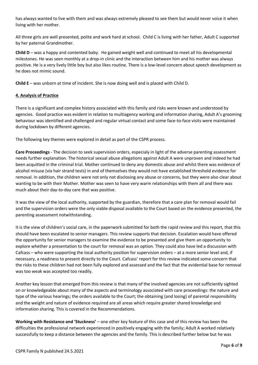has always wanted to live with them and was always extremely pleased to see them but would never voice it when living with her mother.

All three girls are well presented, polite and work hard at school. Child C is living with her father, Adult C supported by her paternal Grandmother.

**Child D** – was a happy and contented baby. He gained weight well and continued to meet all his developmental milestones. He was seen monthly at a drop-in clinic and the interaction between him and his mother was always positive. He is a very lively little boy but also likes routine. There is a low-level concern about speech development as he does not mimic sound.

**Child E** – was unborn at time of incident. She is now doing well and is placed with Child D.

## **4. Analysis of Practice**

There is a significant and complex history associated with this family and risks were known and understood by agencies. Good practice was evident in relation to multiagency working and information sharing, Adult A's grooming behaviour was identified and challenged and regular virtual contact and some face-to-face visits were maintained during lockdown by different agencies.

The following key themes were explored in detail as part of the CSPR process.

**Care Proceedings** - The decision to seek supervision orders, especialy in light of the adverse parenting assessment needs further explanation. The historical sexual abuse allegations against Adult A were unproven and indeed he had been acquitted in the criminal trial. Mother continued to deny any domestic abuse and whilst there was evidence of alcohol misuse (via hair strand tests) in and of themselves they would not have established threshold evidence for removal. In addition, the children were not only not disclosing any abuse or concerns, but they were also clear about wanting to be with their Mother. Mother was seen to have very warm relationships with them all and there was much about their day-to-day care that was positive.

It was the view of the local authority, supported by the guardian, therefore that a care plan for removal would fail and the supervision orders were the only viable disposal available to the Court based on the evidence presented, the parenting assessment notwithstanding.

It is the view of children's social care, in the paperwork submitted for both the rapid review and this report, that this should have been escalated to senior managers. This review supports that decision. Escalation would have offered the opportunity for senior managers to examine the evidence to be presented and give them an opportunity to explore whether a presentation to the court for removal was an option. They could also have led a discussion with Cafcass – who were supporting the local authority position for supervision orders – at a more senior level and, if necessary, a readiness to present directly to the Court. Cafcass' report for this review indicated some concern that the risks to these children had not been fully explored and assessed and the fact that the evidential base for removal was too weak was accepted too readily.

Another key lesson that emerged from this review is that many of the involved agencies are not sufficiently sighted on or knowledgeable about many of the aspects and terminology associated with care proceedings: the nature and type of the various hearings; the orders available to the Court; the obtaining (and losing) of parental responsibility and the weight and nature of evidence required are all areas which require greater shared knowledge and information sharing. This is covered in the Recommendations.

**Working with Resistance and 'Stuckness'** – one other key feature of this case and of this review has been the difficulties the professional network experienced in positively engaging with the family; Adult A worked relatively successfully to keep a distance between the agencies and the family. This is described further below but he was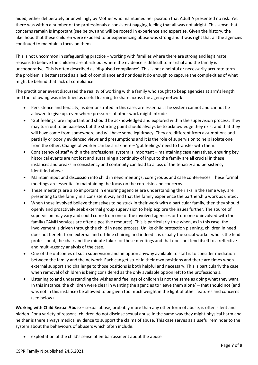aided, either deliberately or unwillingly by Mother who maintained her position that Adult A presented no risk. Yet there was within a number of the professionals a consistent nagging feeling that all was not alright. This sense that concerns remain is important (see below) and will be rooted in experience and expertise. Given the history, the likelihood that these children were exposed to or experiencing abuse was strong and it was right that all the agencies continued to maintain a focus on them.

This is not uncommon in safeguarding practice – working with families where there are strong and legitimate reasons to believe the children are at risk but where the evidence is difficult to marshal and the family is uncooperative. This is often described as 'disguised compliance'. This is not a helpful or necessarily accurate term the problem is better stated as a lack of compliance and nor does it do enough to capture the complexities of what might be behind that lack of compliance.

The practitioner event discussed the reality of working with a family who sought to keep agencies at arm's length and the following was identified as useful learning to share across the agency network:

- Persistence and tenacity, as demonstrated in this case, are essential. The system cannot and cannot be allowed to give up, even where pressures of other work might intrude
- 'Gut feelings' are important and should be acknowledged and explored within the supervision process. They may turn out to be baseless but the starting point should always be to acknowledge they exist and that they will have come from somewhere and will have some legitimacy. They are different from assumptions and partially or poorly evidenced views and presumptions and it is the role of supervision to help isolate one from the other. Change of worker can be a risk here – 'gut feelings' need to transfer with them.
- Consistency of staff within the professional system is important maintaining case narratives, ensuring key historical events are not lost and sustaining a continuity of input to the family are all crucial in these instances and breaks in consistency and continuity can lead to a loss of the tenacity and persistency identified above
- Maintain input and discussion into child in need meetings, core groups and case conferences. These formal meetings are essential in maintaining the focus on the core risks and concerns
- These meetings are also important in ensuring agencies are understanding the risks in the same way, are presenting to the family in a consistent way and that the family experience the partnership work as united.
- When those involved believe themselves to be stuck in their work with a particular family, then they should openly and proactively seek external group supervision to help explore the issues further. The source of supervision may vary and could come from one of the involved agencies or from one uninvolved with the family (CAMH services are often a positive resource). This is particularly true when, as in this case, the involvement is driven through the child in need process. Unlike child protection planning, children in need does not benefit from external and off-line chairing and indeed it is usually the social worker who is the lead professional, the chair and the minute taker for these meetings and that does not lend itself to a reflective and multi-agency analysis of the case.
- One of the outcomes of such supervision and an option anyway available to staff is to consider mediation between the family and the network. Each can get stuck in their own positions and there are times when external support and challenge to those positions is both helpful and necessary. This is particularly the case when removal of children is being considered as the only available option left to the professionals.
- Listening to and understanding the wishes and feelings of children is not the same as doing what they want. In this instance, the children were clear in wanting the agencies to 'leave them alone' – that should not (and was not in this instance) be allowed to be given too much weight in the light of other features and concerns (see below)

**Working with Child Sexual Abuse** – sexual abuse, probably more than any other form of abuse, is often silent and hidden. For a variety of reasons, children do not disclose sexual abuse in the same way they might physical harm and neither is there always medical evidence to support the claims of abuse. This case serves as a useful reminder to the system about the behaviours of abusers which often include:

• exploitation of the child's sense of embarrassment about the abuse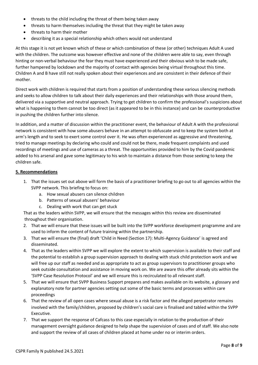- threats to the child including the threat of them being taken away
- threats to harm themselves including the threat that they might be taken away
- threats to harm their mother
- describing it as a special relationship which others would not understand

At this stage it is not yet known which of these or which combination of these (or other) techniques Adult A used with the children. The outcome was however effective and none of the children were able to say, even through hinting or non-verbal behaviour the fear they must have experienced and their obvious wish to be made safe, further hampered by lockdown and the majority of contact with agencies being virtual throughout this time. Children A and B have still not really spoken about their experiences and are consistent in their defence of their mother.

Direct work with children is required that starts from a position of understanding these various silencing methods and seeks to allow children to talk about their daily experiences and their relationships with those around them, delivered via a supportive and neutral approach. Trying to get children to confirm the professional's suspicions about what is happening to them cannot be too direct (as it appeared to be in this instance) and can be counterproductive in pushing the children further into silence.

In addition, and a matter of discussion within the practitioner event, the behaviour of Adult A with the professional network is consistent with how some abusers behave in an attempt to obfuscate and to keep the system both at arm's length and to seek to exert some control over it. He was often experienced as aggressive and threatening, tried to manage meetings by declaring who could and could not be there, made frequent complaints and used recordings of meetings and use of cameras as a threat. The opportunities provided to him by the Covid pandemic added to his arsenal and gave some legitimacy to his wish to maintain a distance from those seeking to keep the children safe.

#### **5. Recommendations**

- 1. That the issues set out above will form the basis of a practitioner briefing to go out to all agencies within the SVPP network. This briefing to focus on:
	- a. How sexual abusers can silence children
	- b. Patterns of sexual abusers' behaviour
	- c. Dealing with work that can get stuck

That as the leaders within SVPP, we will ensure that the messages within this review are disseminated throughout their organisation.

- 2. That we will ensure that these issues will be built into the SVPP workforce development programme and are used to inform the content of future training within the partnership.
- 3. That we will ensure the (final) draft 'Child in Need (Section 17): Multi-Agency Guidance' is agreed and disseminated.
- 4. That as the leaders within SVPP we will explore the extent to which supervision is available to their staff and the potential to establish a group supervision approach to dealing with stuck child protection work and we will free up our staff as needed and as appropriate to act as group supervisors to practitioner groups who seek outside consultation and assistance in moving work on. We are aware this offer already sits within the 'SVPP Case Resolution Protocol' and we will ensure this is recirculated to all relevant staff.
- 5. That we will ensure that SVPP Business Support prepares and makes available on its website, a glossary and explanatory note for partner agencies setting out some of the basic terms and processes within care proceedings
- 6. That the review of all open cases where sexual abuse is a risk factor and the alleged perpetrator remains involved with the family/children, proposed by children's social care is finalised and tabled within the SVPP Executive.
- 7. That we support the response of Cafcass to this case especially in relation to the production of their management oversight guidance designed to help shape the supervision of cases and of staff. We also note and support the review of all cases of children placed at home under no or interim orders.